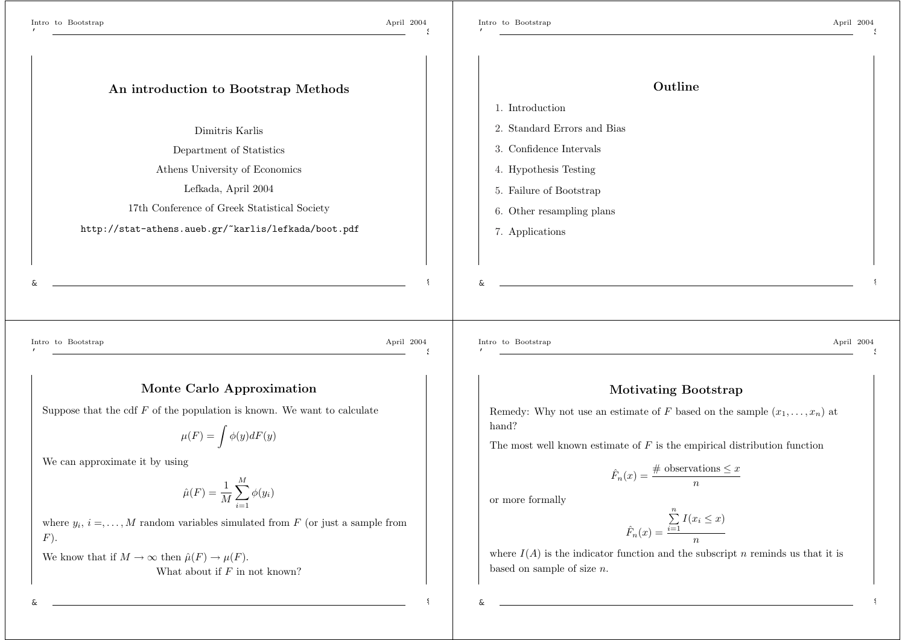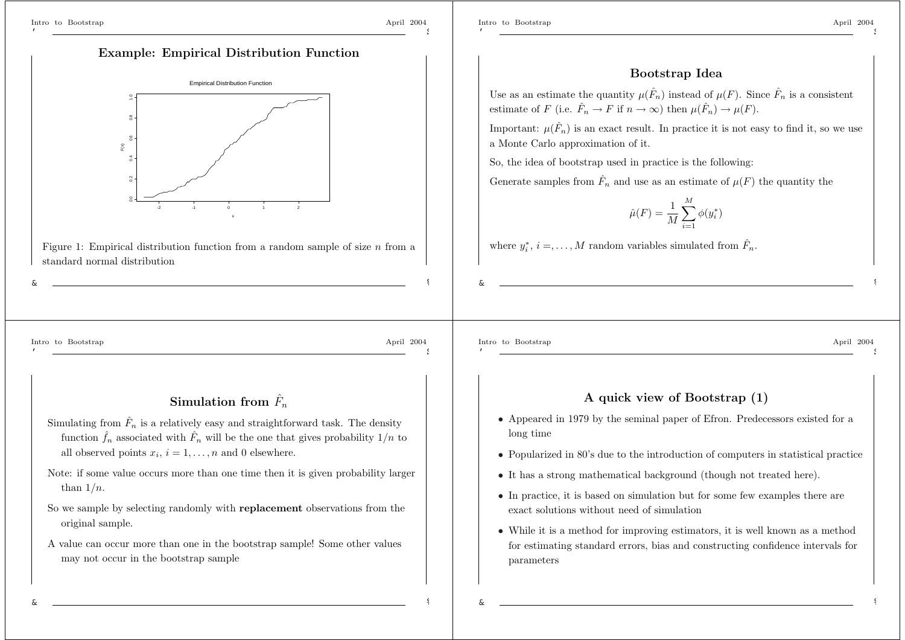$\widetilde{\mathbf{x}}$ 

standard normal distribution

0.0 0.2 0.4 0.6 0.8 1.0

 $\tilde{c}$ 

 $\frac{8}{2}$ 

'

\$

#### **Bootstrap Idea**

Use as an estimate the quantity  $\mu(\hat{F}_n)$  instead of  $\mu(F)$ . Since  $\hat{F}_n$  is a consistent estimate of F (i.e.  $\hat{F}_n \to F$  if  $n \to \infty$ ) then  $\mu(\hat{F}_n) \to \mu(F)$ .

Important:  $\mu(\hat{F}_n)$  is an exact result. In practice it is not easy to find it, so we use <sup>a</sup> Monte Carlo approximation of it.

So, the idea of bootstrap used in practice is the following:

Generate samples from  $\hat{F}_n$  and use as an estimate of  $\mu(F)$  the quantity the

$$
\hat{\mu}(F) = \frac{1}{M} \sum_{i=1}^{M} \phi(y_i^*)
$$

where  $y_i^*, i =, \ldots, M$  random variables simulated from  $\hat{F}_n$ .

&

'

Intro to Bootstrap April 2004 \$

%

# ${\bf Simulation~ from}~~ \hat{F_n}$

**Example: Empirical Distribution Function**

Empirical Distribution Function

x

-2 -1 0 1 2

Figure 1: Empirical distribution function from a random sample of size  $n$  from a

- Simulating from  $\hat{F}_n$  is a relatively easy and straightforward task. The density function  $\hat{f}_n$  associated with  $\hat{F}_n$  will be the one that gives probability  $1/n$  to all observed points  $x_i$ ,  $i = 1, \ldots, n$  and 0 elsewhere.
- Note: if some value occurs more than one time then it is given probability larger than  $1/n$ .
- So we sample by selecting randomly with **replacement** observations from the original sample.
- A value can occur more than one in the bootstrap sample! Some other values may not occur in the bootstrap sample

'

&

#### Intro to Bootstrap April 2004 \$

%

#### **A quick view of Bootstrap (1)**

- Appeared in 1979 by the seminal paper of Efron. Predecessors existed for <sup>a</sup> long time
- Popularized in 80's due to the introduction of computers in statistical practice
- It has <sup>a</sup> strong mathematical background (though not treated here).
- In practice, it is based on simulation but for some few examples there are exact solutions without need of simulation
- While it is <sup>a</sup> method for improving estimators, it is well known as <sup>a</sup> method for estimating standard errors, bias and constructing confidence intervals for parameters

&

&

%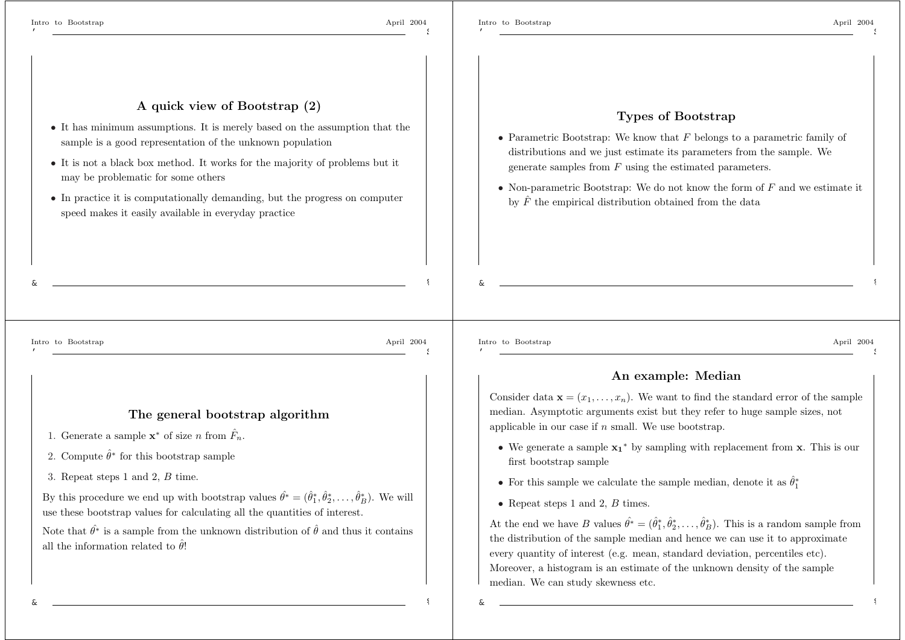\$

%

\$

%

&

## **Types of Bootstrap**

- Parametric Bootstrap: We know that  $F$  belongs to a parametric family of distributions and we just estimate its parameters from the sample. We generate samples from F using the estimated parameters.
- Non-parametric Bootstrap: We do not know the form of  $F$  and we estimate it by  $\hat{F}$  the empirical distribution obtained from the data

&

Intro to Bootstrap April 2004 '

#### **The general bootstrap algorithm**

**<sup>A</sup> quick view of Bootstrap (2)**

• It has minimum assumptions. It is merely based on the assumption that the

• It is not <sup>a</sup> black box method. It works for the majority of problems but it

• In practice it is computationally demanding, but the progress on computer

sample is <sup>a</sup> good representation of the unknown population

speed makes it easily available in everyday practice

1. Generate a sample  $\mathbf{x}^*$  of size n from  $\hat{F}_n$ .

may be problematic for some others

- 2. Compute  $\hat{\theta}^*$  for this bootstrap sample
- 3. Repeat steps 1 and 2, B time.

By this procedure we end up with bootstrap values  $\hat{\theta}^* = (\hat{\theta}_1^*, \hat{\theta}_2^*, \dots, \hat{\theta}_B^*)$ . We will use these bootstrap values for calculating all the quantities of interest.

Note that  $\hat{\theta}^*$  is a sample from the unknown distribution of  $\hat{\theta}$  and thus it contains all the information related to  $\hat{\theta}$ !

Intro to Bootstrap April 2004 '

&

\$

%

%

#### **An example: Median**

Consider data  $\mathbf{x} = (x_1, \ldots, x_n)$ . We want to find the standard error of the sample median. Asymptotic arguments exist but they refer to huge sample sizes, not applicable in our case if  $n$  small. We use bootstrap.

- We generate <sup>a</sup> sample **<sup>x</sup>1**<sup>∗</sup> by sampling with replacement from **<sup>x</sup>**. This is our first bootstrap sample
- For this sample we calculate the sample median, denote it as  $\hat{\theta}^*$
- Repeat steps 1 and 2,  $B$  times.

At the end we have B values  $\hat{\theta^*} = (\hat{\theta}_1^*, \hat{\theta}_2^*, \dots, \hat{\theta}_B^*)$ . This is a random sample from the distribution of the sample median and hence we can use it to approximate every quantity of interest (e.g. mean, standard deviation, percentiles etc). Moreover, <sup>a</sup> histogram is an estimate of the unknown density of the sample median. We can study skewness etc.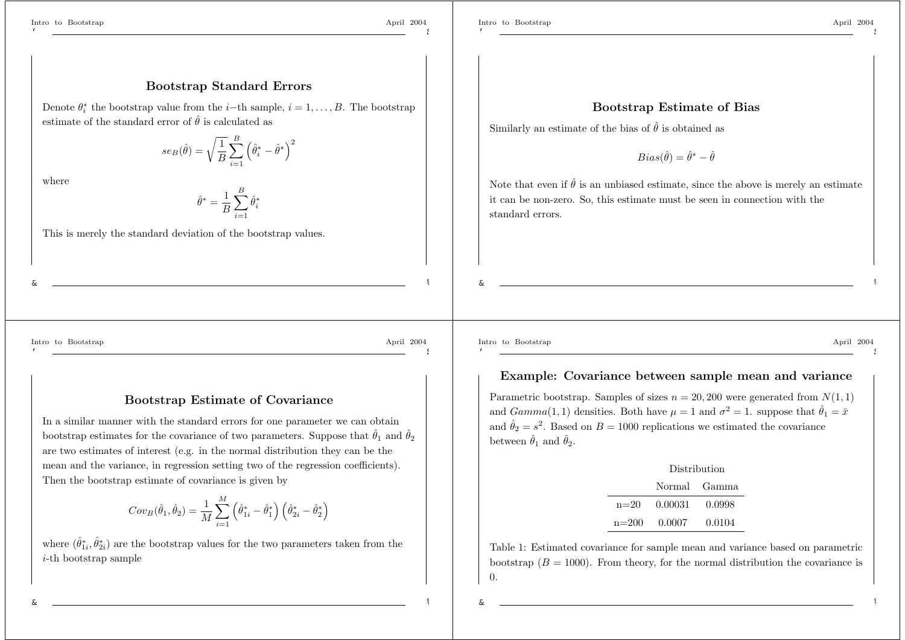\$

%

\$

%

\$

%

#### **Bootstrap Standard Errors**

Denote  $\theta_i^*$  the bootstrap value from the *i*-th sample,  $i = 1, \ldots, B$ . The bootstrap estimate of the standard error of  $\hat{\theta}$  is calculated as

> $se_{B}(\hat{\theta}% ,\hat{\theta}_{t})\equiv\frac{1}{2}e_{B}(\hat{\theta}_{t}+\hat{\theta}_{t})-\frac{1}{2}e_{B}(\hat{\theta}_{t}+\hat{\theta}_{t})$  $\hat{\theta}) = \sqrt{\frac{1}{B}} \sum_{i=1}^{B} \left( \hat{\theta}^*_i - \hat{\theta}^* \right)^2$

where

 $\hat{\theta}^* = \frac{1}{B}\sum_{i=1}^B \hat{\theta}^*_i$ *i*=1

This is merely the standard deviation of the bootstrap values.

**Bootstrap Estimate of Bias**

Similarly an estimate of the bias of  $\hat{\theta}$  is obtained as

 $Bias(\hat{\theta}) = \hat{\theta}^* - \hat{\theta}$ 

Note that even if  $\hat{\theta}$  is an unbiased estimate, since the above is merely an estimate it can be non-zero. So, this estimate must be seen in connection with the standard errors.

&

'

Intro to Bootstrap April 2004

**Bootstrap Estimate of Covariance**

In <sup>a</sup> similar manner with the standard errors for one parameter we can obtain bootstrap estimates for the covariance of two parameters. Suppose that  $\hat{\theta}_1$  and  $\hat{\theta}_2$ are two estimates of interest (e.g. in the normal distribution they can be the mean and the variance, in regression setting two of the regression coefficients). Then the bootstrap estimate of covariance is given by

$$
Cov_B(\hat{\theta}_1, \hat{\theta}_2) = \frac{1}{M} \sum_{i=1}^{M} (\hat{\theta}_{1i}^* - \hat{\theta}_{1}^*) (\hat{\theta}_{2i}^* - \hat{\theta}_{2}^*)
$$

where  $(\hat{\theta}_{1i}^*, \hat{\theta}_{2i}^*)$  are the bootstrap values for the two parameters taken from the i-th bootstrap sample

Intro to Bootstrap April 2004 '

&

#### **Example: Covariance between sample mean and variance**

Parametric bootstrap. Samples of sizes  $n = 20, 200$  were generated from  $N(1, 1)$ and  $Gamma(1, 1)$  densities. Both have  $\mu = 1$  and  $\sigma^2 = 1$ . suppose that  $\hat{\theta}_1 = \bar{x}$ and  $\hat{\theta}_2 = s^2$ . Based on  $B = 1000$  replications we estimated the covariance between  $\hat{\theta}_1$  and  $\hat{\theta}_2$ .

| Distribution          |              |  |
|-----------------------|--------------|--|
|                       | Normal Gamma |  |
| $n=20$ 0.00031 0.0998 |              |  |
| $n=200$ 0.0007 0.0104 |              |  |

Table 1: Estimated covariance for sample mean and variance based on parametric bootstrap  $(B = 1000)$ . From theory, for the normal distribution the covariance is 0.

&

&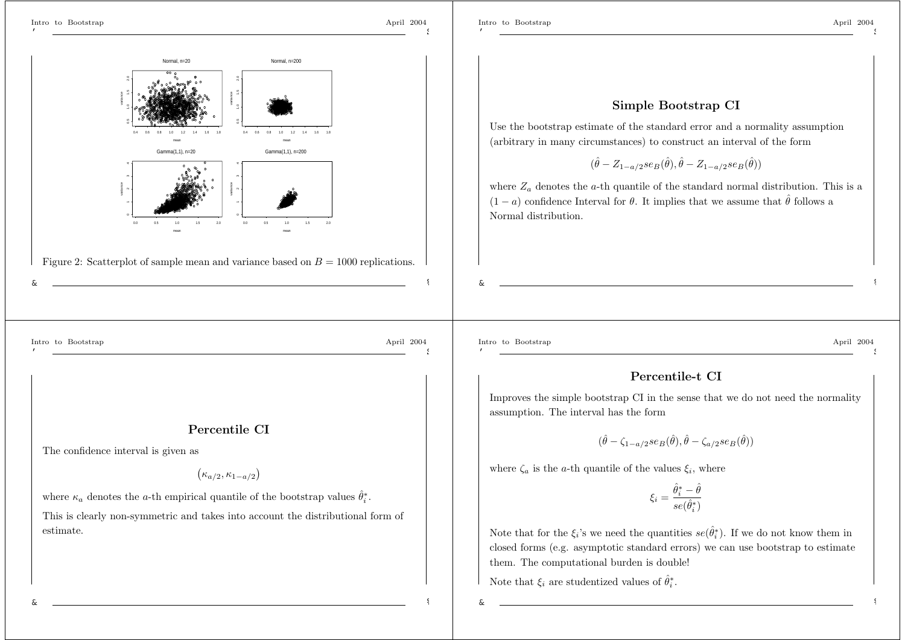Normal, n=20

Normal, n=200

mean

Gamma(1,1), n=200

mean

 $0.5$ 

10 12 14 16

variance

variance

The confidence interval is given as

01234

0.5 1.0 1.5 2.0

mean

 $Gamma(1,1)$ , n=20

mean

0.0 0.5 1.0 1.5 2.0

0.4 0.6 0.8 1.0 1.2 1.4 1.6 1.8

variance

variance

Figure 2: Scatterplot of sample mean and variance based on  $B = 1000$  replications.

**Percentile CI**

 $(\kappa_{a/2}, \kappa_{1-a/2})$ 

This is clearly non-symmetric and takes into account the distributional form of

where  $\kappa_a$  denotes the *a*-th empirical quantile of the bootstrap values  $\hat{\theta}_i^*$ .

01234

0.5 1.0 1.5 2.0

'

\$

#### **Simple Bootstrap CI**

Use the bootstrap estimate of the standard error and <sup>a</sup> normality assumption (arbitrary in many circumstances) to construct an interval of the form

 $(\hat{\theta} - Z_{1-a/2}se_B(\hat{\theta}), \hat{\theta} - Z_{1-a/2}se_B(\hat{\theta}))$ 

where  $Z_a$  denotes the a-th quantile of the standard normal distribution. This is a  $(1 - a)$  confidence Interval for  $\theta$ . It implies that we assume that  $\hat{\theta}$  follows a Normal distribution.

Intro to Bootstrap April 2004

estimate.

&

'

# \$

%

'

&

Intro to Bootstrap April 2004 \$

%

#### **Percentile-t CI**

Improves the simple bootstrap CI in the sense that we do not need the normality assumption. The interval has the form

$$
(\hat{\theta} - \zeta_{1-a/2} s e_B(\hat{\theta}), \hat{\theta} - \zeta_{a/2} s e_B(\hat{\theta}))
$$

where  $\zeta_a$  is the *a*-th quantile of the values  $\xi_i$ , where

$$
\xi_i = \frac{\hat{\theta}_i^* - \hat{\theta}}{se(\hat{\theta}_i^*)}
$$

Note that for the  $\xi_i$ 's we need the quantities  $se(\hat{\theta}_i^*)$ . If we do not know them in closed forms (e.g. asymptotic standard errors) we can use bootstrap to estimate them. The computational burden is double!

Note that  $\xi_i$  are studentized values of  $\hat{\theta}_i^*$ .

&

&

%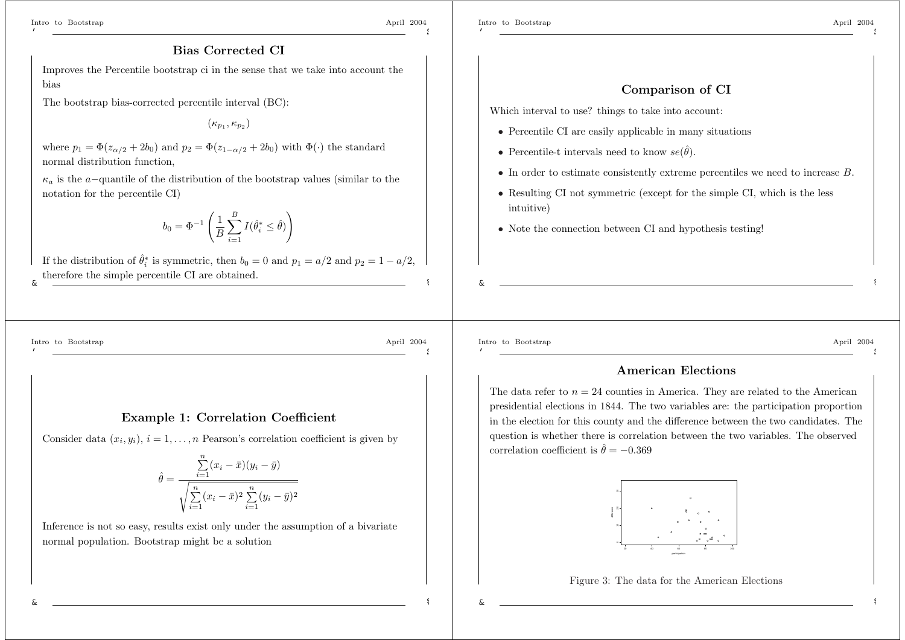\$

%

\$

\$

#### **Comparison of CI**

Which interval to use? things to take into account:

- Percentile CI are easily applicable in many situations
- Percentile-t intervals need to know  $se(\hat{\theta})$ .
- In order to estimate consistently extreme percentiles we need to increase B.
- Resulting CI not symmetric (except for the simple CI, which is the less intuitive)
- Note the connection between CI and hypothesis testing!

#### **Bias Corrected CI**

Improves the Percentile bootstrap ci in the sense that we take into account the bias

The bootstrap bias-corrected percentile interval (BC):

 $(\kappa_{p_1},\kappa_{p_2})$ 

where  $p_1 = \Phi(z_{\alpha/2} + 2b_0)$  and  $p_2 = \Phi(z_{1-\alpha/2} + 2b_0)$  with  $\Phi(\cdot)$  the standard normal distribution function,

κ*a* is the <sup>a</sup>−quantile of the distribution of the bootstrap values (similar to the notation for the percentile CI)

$$
b_0 = \Phi^{-1}\left(\frac{1}{B}\sum_{i=1}^B I(\hat{\theta}_i^* \le \hat{\theta})\right)
$$

&If the distribution of  $\hat{\theta}_i^*$  is symmetric, then  $b_0 = 0$  and  $p_1 = a/2$  and  $p_2 = 1 - a/2$ , therefore the simple percentile CI are obtained.

Intro to Bootstrap April 2004

'

#### **Example 1: Correlation Coefficient**

Consider data  $(x_i, y_i)$ ,  $i = 1, \ldots, n$  Pearson's correlation coefficient is given by

$$
\hat{\theta} = \frac{\sum_{i=1}^{n} (x_i - \bar{x})(y_i - \bar{y})}{\sqrt{\sum_{i=1}^{n} (x_i - \bar{x})^2 \sum_{i=1}^{n} (y_i - \bar{y})^2}}
$$

Inference is not so easy, results exist only under the assumption of <sup>a</sup> bivariate normal population. Bootstrap might be <sup>a</sup> solution

Intro to Bootstrap April 2004 '

&

\$

%

%

#### **American Elections**

The data refer to  $n = 24$  counties in America. They are related to the American presidential elections in 1844. The two variables are: the participation proportion in the election for this county and the difference between the two candidates. The question is whether there is correlation between the two variables. The observed correlation coefficient is  $\hat{\theta} = -0.369$ 



Figure 3: The data for the American Elections

&

&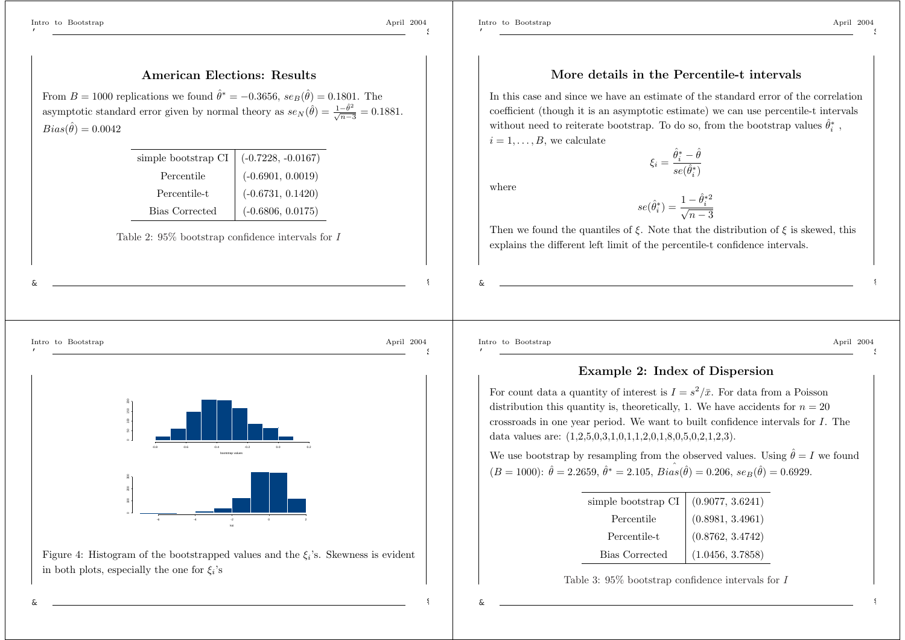$Bias(\hat{\theta})=0.0042$ 

'

\$

%

\$

#### **More details in the Percentile-t intervals**

In this case and since we have an estimate of the standard error of the correlation coefficient (though it is an asymptotic estimate) we can use percentile-t intervals without need to reiterate bootstrap. To do so, from the bootstrap values  $\hat{\theta}_i^*$ ,  $i = 1, \ldots, B$ , we calculate

$$
\xi_i = \frac{\hat{\theta}_i^*-\hat{\theta}}{se(\hat{\theta}_i^*)}
$$

where

$$
se(\hat{\theta}_i^*) = \frac{1 - \hat{\theta}_i^{*2}}{\sqrt{n-3}}
$$

Then we found the quantiles of  $\xi$ . Note that the distribution of  $\xi$  is skewed, this explains the different left limit of the percentile-t confidence intervals.



'



**American Elections: Results**

simple bootstrap CI  $( -0.7228, -0.0167)$ 

Table 2: 95% bootstrap confidence intervals for I

(-0.6901, 0.0019)

(-0.6731, 0.1420)

(-0.6806, 0.0175)

From  $B = 1000$  replications we found  $\hat{\theta}^* = -0.3656$ ,  $se_B(\hat{\theta}) = 0.1801$ . The asymptotic standard error given by normal theory as  $se_N(\hat{\theta}) = \frac{1-\hat{\theta}^2}{\sqrt{n-3}} = 0.1881$ .

Percentile

Percentile-t

Bias Corrected



Intro to Bootstrap April 2004 '

&

\$

%

%

#### **Example 2: Index of Dispersion**

For count data a quantity of interest is  $I = s^2/\bar{x}$ . For data from a Poisson distribution this quantity is, theoretically, 1. We have accidents for  $n = 20$ crossroads in one year period. We want to built confidence intervals for I. The data values are: (1,2,5,0,3,1,0,1,1,2,0,1,8,0,5,0,2,1,2,3).

We use bootstrap by resampling from the observed values. Using  $\hat{\theta} = I$  we found  $(B = 1000): \hat{\theta} = 2.2659, \hat{\theta}^* = 2.105, \, \hat{Bias}(\hat{\theta}) = 0.206, \, \hat{se}_B(\hat{\theta}) = 0.6929.$ 

| simple bootstrap $\operatorname{CI}$ | (0.9077, 3.6241) |
|--------------------------------------|------------------|
| Percentile                           | (0.8981, 3.4961) |
| Percentile-t                         | (0.8762, 3.4742) |
| <b>Bias Corrected</b>                | (1.0456, 3.7858) |

Table 3: 95% bootstrap confidence intervals for I

&

&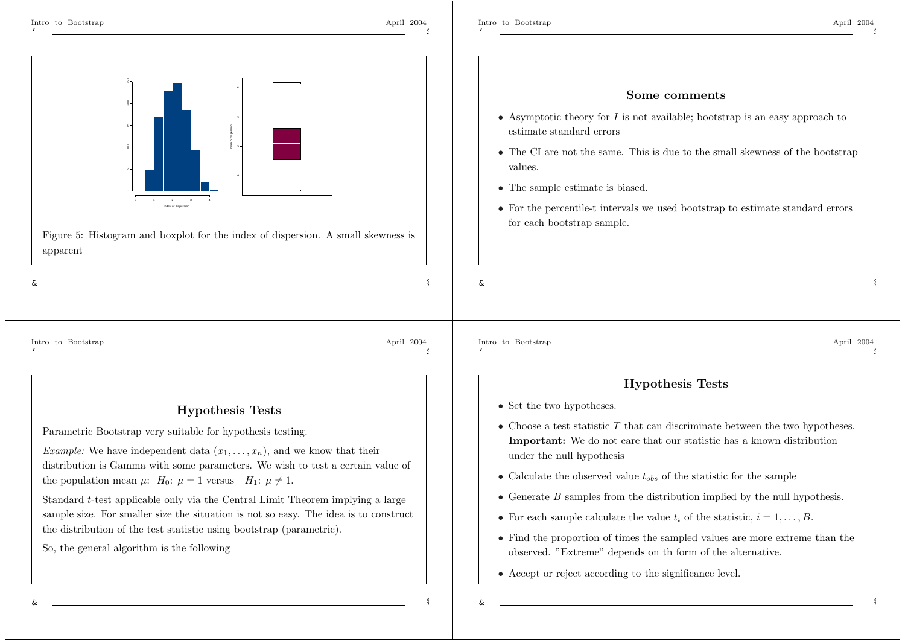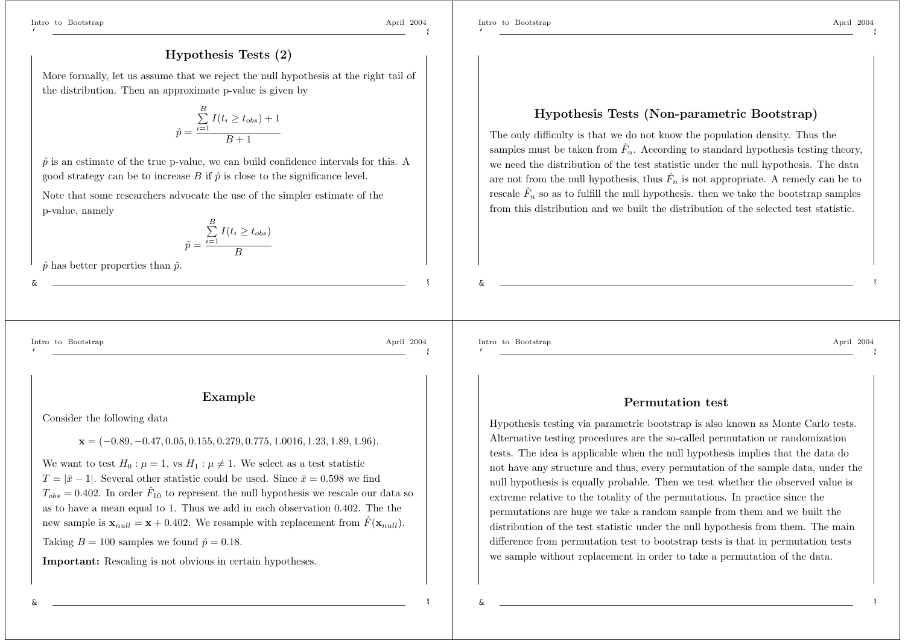\$

## **Hypothesis Tests (2)**

More formally, let us assume that we reject the null hypothesis at the right tail of the distribution. Then an approximate p-value is given by

$$
\hat{p} = \frac{\sum_{i=1}^{B} I(t_i \ge t_{obs}) + 1}{B + 1}
$$

 $\hat{p}$  is an estimate of the true p-value, we can build confidence intervals for this. A good strategy can be to increase B if  $\hat{p}$  is close to the significance level.

Note that some researchers advocate the use of the simpler estimate of the p-value, namely

$$
\tilde{p} = \frac{\sum_{i=1}^{B} I(t_i \ge t_{obs})}{B}
$$

 $\hat{p}$  has better properties than  $\tilde{p}$ .

Intro to Bootstrap April 2004

&

'

\$

%

#### **Example**

Consider the following data

#### **x** = (−0.89, −0.47, 0.05, 0.155, 0.279, 0.775, 1.0016, 1.23, 1.89, 1.96).

We want to test  $H_0: \mu = 1$ , vs  $H_1: \mu \neq 1$ . We select as a test statistic  $T = |\bar{x} - 1|$ . Several other statistic could be used. Since  $\bar{x} = 0.598$  we find  $T_{obs} = 0.402$ . In order  $\hat{F}_{10}$  to represent the null hypothesis we rescale our data so as to have <sup>a</sup> mean equal to 1. Thus we add in each observation 0.402. The the new sample is  $\mathbf{x}_{null} = \mathbf{x} + 0.402$ . We resample with replacement from  $\hat{F}(\mathbf{x}_{null})$ .

Taking  $B = 100$  samples we found  $\hat{p} = 0.18$ .

**Important:** Rescaling is not obvious in certain hypotheses.

Intro to Bootstrap April 2004

# **Hypothesis Tests (Non-parametric Bootstrap)**

The only difficulty is that we do not know the population density. Thus the samples must be taken from  $\hat{F}_n$ . According to standard hypothesis testing theory, we need the distribution of the test statistic under the null hypothesis. The data are not from the null hypothesis, thus  $\hat{F}_n$  is not appropriate. A remedy can be to rescale  $F_{\rm s}$  $\hat{F}_n$  so as to fulfill the null hypothesis. then we take the bootstrap samples from this distribution and we built the distribution of the selected test statistic.

Intro to Bootstrap April 2004 '

&

\$

%

%

#### **Permutation test**

Hypothesis testing via parametric bootstrap is also known as Monte Carlo tests. Alternative testing procedures are the so-called permutation or randomization tests. The idea is applicable when the null hypothesis implies that the data do not have any structure and thus, every permutation of the sample data, under the null hypothesis is equally probable. Then we test whether the observed value is extreme relative to the totality of the permutations. In practice since the permutations are huge we take <sup>a</sup> random sample from them and we built the distribution of the test statistic under the null hypothesis from them. The main difference from permutation test to bootstrap tests is that in permutation tests we sample without replacement in order to take <sup>a</sup> permutation of the data.

&

&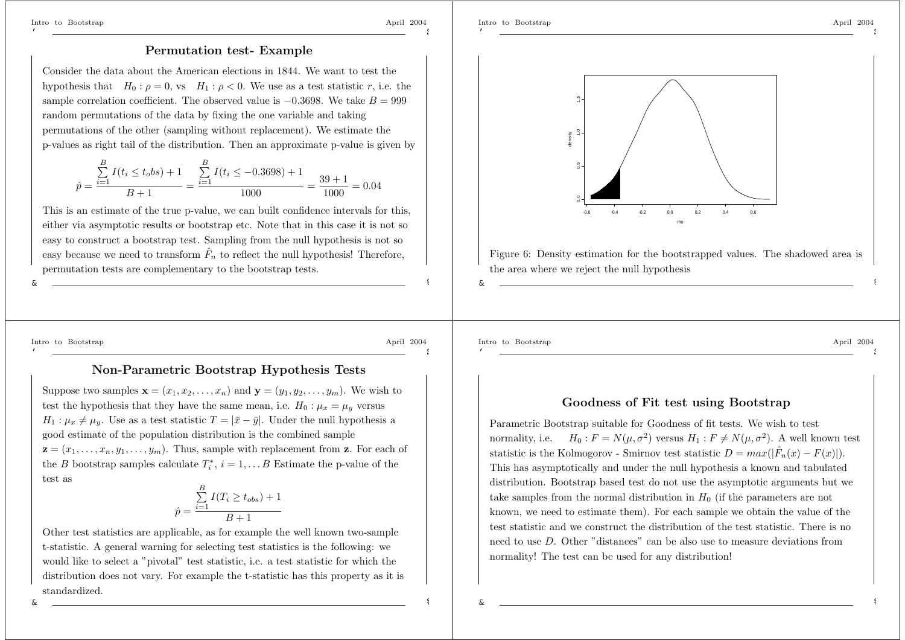\$

\$

#### **Permutation test- Example**

Consider the data about the American elections in 1844. We want to test thehypothesis that  $H_0: \rho = 0$ , vs  $H_1: \rho < 0$ . We use as a test statistic r, i.e. the sample correlation coefficient. The observed value is  $-0.3698$ . We take  $B = 999$ random permutations of the data by fixing the one variable and taking permutations of the other (sampling without replacement). We estimate the p-values as right tail of the distribution. Then an approximate p-value is given by

$$
\hat{p} = \frac{\sum_{i=1}^{B} I(t_i \le t_o b s) + 1}{B + 1} = \frac{\sum_{i=1}^{B} I(t_i \le -0.3698) + 1}{1000} = \frac{39 + 1}{1000} = 0.04
$$

This is an estimate of the true p-value, we can built confidence intervals for this, either via asymptotic results or bootstrap etc. Note that in this case it is not so easy to construct <sup>a</sup> bootstrap test. Sampling from the null hypothesis is not so easy because we need to transform  $\hat{F}_n$  to reflect the null hypothesis! Therefore, permutation tests are complementary to the bootstrap tests.

&

'

Intro to Bootstrap April 2004

%

\$

%

&

#### **Non-Parametric Bootstrap Hypothesis Tests**

Suppose two samples  $\mathbf{x} = (x_1, x_2, \ldots, x_n)$  and  $\mathbf{y} = (y_1, y_2, \ldots, y_m)$ . We wish to test the hypothesis that they have the same mean, i.e.  $H_0: \mu_x = \mu_y$  versus  $H_1: \mu_x \neq \mu_y$ . Use as a test statistic  $T = |\bar{x} - \bar{y}|$ . Under the null hypothesis a good estimate of the population distribution is the combined sample  $\mathbf{z} = (x_1, \ldots, x_n, y_1, \ldots, y_m)$ . Thus, sample with replacement from **z**. For each of the B bootstrap samples calculate  $T_i^*, i = 1, \ldots B$  Estimate the p-value of the test as

$$
\hat{p} = \frac{\sum_{i=1}^{B} I(T_i \ge t_{obs}) + 1}{B + 1}
$$

Other test statistics are applicable, as for example the well known two-sample t-statistic. A general warning for selecting test statistics is the following: we would like to select <sup>a</sup> "pivotal" test statistic, i.e. <sup>a</sup> test statistic for which the distribution does not vary. For example the t-statistic has this property as it is standardized.



Intro to Bootstrap April 2004 '

\$

%

%

#### **Goodness of Fit test using Bootstrap**

Parametric Bootstrap suitable for Goodness of fit tests. We wish to test normality, i.e.  $H_0 : F = N(\mu, \sigma^2)$  versus  $H_1 : F \neq N(\mu, \sigma^2)$ . A well known test statistic is the Kolmogorov - Smirnov test statistic  $D = max(|\hat{F}_n(x) - F(x)|)$ . This has asymptotically and under the null hypothesis <sup>a</sup> known and tabulated distribution. Bootstrap based test do not use the asymptotic arguments but we take samples from the normal distribution in  $H_0$  (if the parameters are not known, we need to estimate them). For each sample we obtain the value of the test statistic and we construct the distribution of the test statistic. There is no need to use D. Other "distances" can be also use to measure deviations fromnormality! The test can be used for any distribution!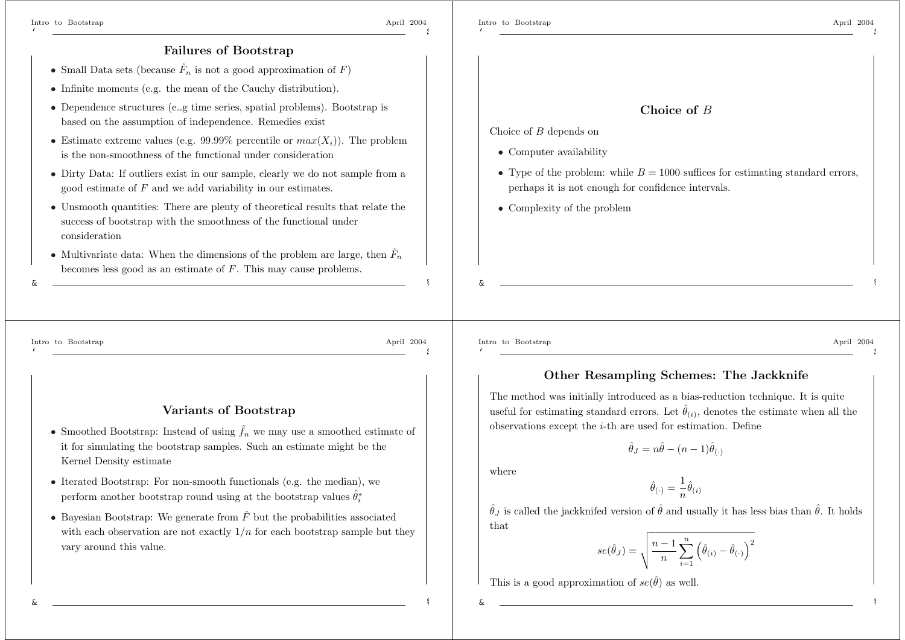&

'

\$

Choice of B depends on

• Computer availability

• Complexity of the problem

#### **Failures of Bootstrap**

- Small Data sets (because  $\hat{F}_n$  is not a good approximation of  $F$ )
- Infinite moments (e.g. the mean of the Cauchy distribution).
- Dependence structures (e..g time series, spatial problems). Bootstrap is based on the assumption of independence. Remedies exist
- Estimate extreme values (e.g.  $99.99\%$  percentile or  $max(X_i)$ ). The problem is the non-smoothness of the functional under consideration
- Dirty Data: If outliers exist in our sample, clearly we do not sample from <sup>a</sup> good estimate of F and we add variability in our estimates.
- Unsmooth quantities: There are <sup>p</sup>lenty of theoretical results that relate the success of bootstrap with the smoothness of the functional under consideration
- Multivariate data: When the dimensions of the problem are large, then  $\hat{F}_n$ becomes less good as an estimate of F. This may cause problems.

Intro to Bootstrap April 2004

\$

%

#### **Variants of Bootstrap**

- Smoothed Bootstrap: Instead of using  $\hat{f}_n$  we may use a smoothed estimate of it for simulating the bootstrap samples. Such an estimate might be the Kernel Density estimate
- Iterated Bootstrap: For non-smooth functionals (e.g. the median), we perform another bootstrap round using at the bootstrap values  $\hat{\theta}_i^*$
- Bayesian Bootstrap: We generate from  $\hat{F}$  but the probabilities associated with each observation are not exactly  $1/n$  for each bootstrap sample but they vary around this value.

Intro to Bootstrap April 2004 '

&

## **Other Resampling Schemes: The Jackknife**

**Choice of** *B*

• Type of the problem: while  $B = 1000$  suffices for estimating standard errors,

perhaps it is not enough for confidence intervals.

The method was initially introduced as <sup>a</sup> bias-reduction technique. It is quite useful for estimating standard errors. Let  $\hat{\theta}_{(i)}$ , denotes the estimate when all the observations except the i-th are used for estimation. Define

$$
\hat{\theta}_J = n\hat{\theta} - (n-1)\hat{\theta}_{(\cdot)}
$$

where

$$
\hat{\theta}_{(\cdot)} = \frac{1}{n}\hat{\theta}_{(i)}
$$

 $\hat{\theta}_J$  is called the jackknifed version of  $\hat{\theta}$  and usually it has less bias than  $\hat{\theta}$ . It holds that

$$
se(\hat{\theta}_J) = \sqrt{\frac{n-1}{n} \sum_{i=1}^n (\hat{\theta}_{(i)} - \hat{\theta}_{(\cdot)})^2}
$$

This is a good approximation of  $se(\hat{\theta})$  as well.

&

&

%

%

%

\$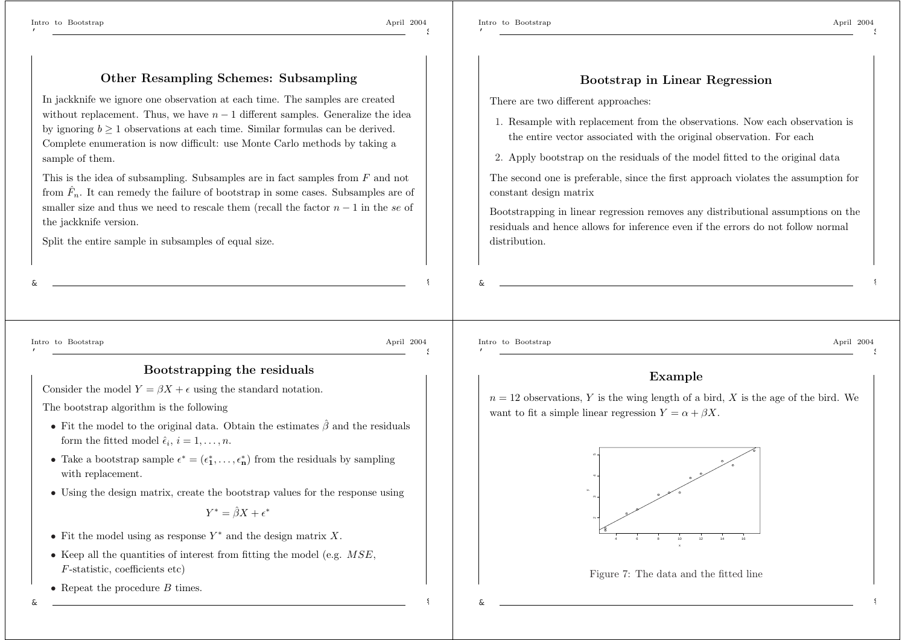\$

## **Other Resampling Schemes: Subsampling**

In jackknife we ignore one observation at each time. The samples are created without replacement. Thus, we have  $n - 1$  different samples. Generalize the idea by ignoring  $b \geq 1$  observations at each time. Similar formulas can be derived. Complete enumeration is now difficult: use Monte Carlo methods by taking <sup>a</sup> sample of them.

This is the idea of subsampling. Subsamples are in fact samples from F and not from  $\hat{F}_n$ . It can remedy the failure of bootstrap in some cases. Subsamples are of smaller size and thus we need to rescale them (recall the factor  $n-1$  in the se of the jackknife version.

Split the entire sample in subsamples of equal size.

#### **Bootstrap in Linear Regression**

There are two different approaches:

- 1. Resample with replacement from the observations. Now each observation is the entire vector associated with the original observation. For each
- 2. Apply bootstrap on the residuals of the model fitted to the original data

The second one is preferable, since the first approach violates the assumption for constant design matrix

Bootstrapping in linear regression removes any distributional assumptions on the residuals and hence allows for inference even if the errors do not follow normaldistribution.

Intro to Bootstrap April 2004

&

'

%

\$

#### **Bootstrapping the residuals**

Consider the model  $Y = \beta X + \epsilon$  using the standard notation.

The bootstrap algorithm is the following

- Fit the model to the original data. Obtain the estimates  $\hat{\beta}$  and the residuals form the fitted model  $\hat{\epsilon}_i$ ,  $i = 1, \ldots, n$ .
- Take a bootstrap sample  $\epsilon^* = (\epsilon_1^*, \ldots, \epsilon_n^*)$  from the residuals by sampling with replacement.
- Using the design matrix, create the bootstrap values for the response using

#### $Y^*=\hat{\beta}X+\epsilon^*$

- Fit the model using as response  $Y^*$  and the design matrix X.
- Keep all the quantities of interest from fitting the model (e.g.  $MSE$ , <sup>F</sup>-statistic, coefficients etc)
- Repeat the procedure  $B$  times.

Intro to Bootstrap April 2004 '

&

\$

%

#### **Example**

 $n = 12$  observations, Y is the wing length of a bird, X is the age of the bird. We want to fit a simple linear regression  $Y = \alpha + \beta X$ .



Figure 7: The data and the fitted line

&

&

%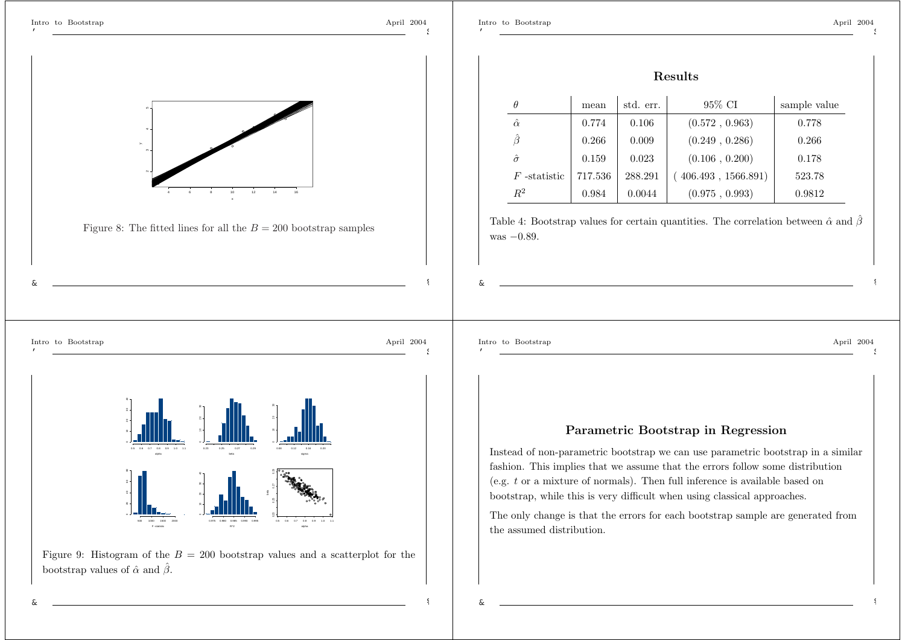$\ddot{\phantom{1}}$ 

%



%

&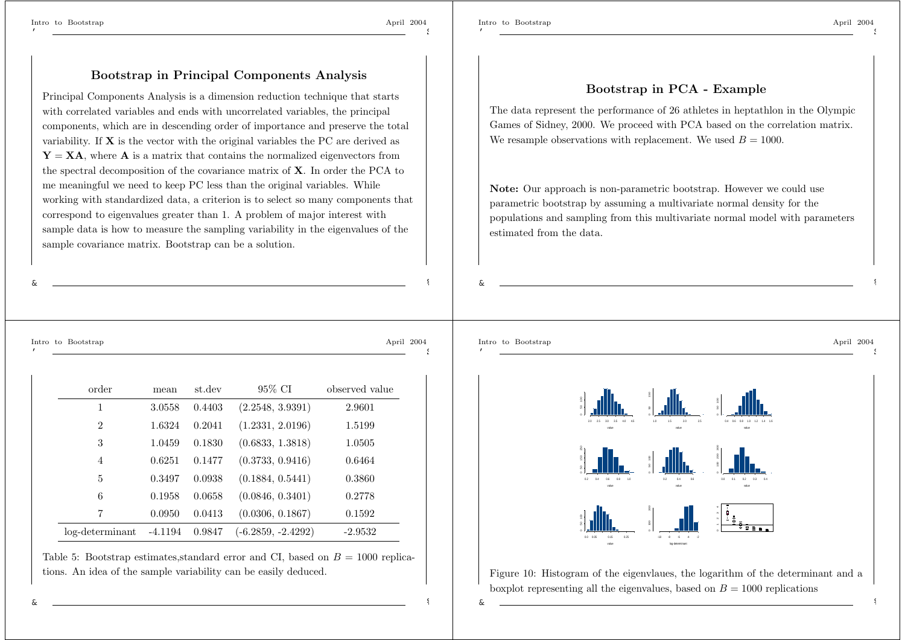&

'

\$

%

\$

&

%

%

#### **Bootstrap in PCA - Example**

The data represent the performance of 26 athletes in heptathlon in the Olympic Games of Sidney, 2000. We proceed with PCA based on the correlation matrix. We resample observations with replacement. We used  $B = 1000$ .

**Note:** Our approach is non-parametric bootstrap. However we could use parametric bootstrap by assuming <sup>a</sup> multivariate normal density for the populations and sampling from this multivariate normal model with parameters estimated from the data.

Intro to Bootstrap April 2004

| order           | mean      | st.dev | 95% CI               | observed value |
|-----------------|-----------|--------|----------------------|----------------|
| 1               | 3.0558    | 0.4403 | (2.2548, 3.9391)     | 2.9601         |
| $\overline{2}$  | 1.6324    | 0.2041 | (1.2331, 2.0196)     | 1.5199         |
| 3               | 1.0459    | 0.1830 | (0.6833, 1.3818)     | 1.0505         |
| $\overline{4}$  | 0.6251    | 0.1477 | (0.3733, 0.9416)     | 0.6464         |
| 5               | 0.3497    | 0.0938 | (0.1884, 0.5441)     | 0.3860         |
| 6               | 0.1958    | 0.0658 | (0.0846, 0.3401)     | 0.2778         |
| 7               | 0.0950    | 0.0413 | (0.0306, 0.1867)     | 0.1592         |
| log-determinant | $-4.1194$ | 0.9847 | $(-6.2859, -2.4292)$ | $-2.9532$      |

**Bootstrap in Principal Components Analysis**

working with standardized data, <sup>a</sup> criterion is to select so many components that correspond to eigenvalues greater than 1. A problem of major interest with sample data is how to measure the sampling variability in the eigenvalues of the

sample covariance matrix. Bootstrap can be <sup>a</sup> solution.

Principal Components Analysis is <sup>a</sup> dimension reduction technique that starts with correlated variables and ends with uncorrelated variables, the principal components, which are in descending order of importance and preserve the total variability. If **X** is the vector with the original variables the PC are derived as **Y** <sup>=</sup> **XA**, where **A** is <sup>a</sup> matrix that contains the normalized eigenvectors from the spectral decomposition of the covariance matrix of **X**. In order the PCA to me meaningful we need to keep PC less than the original variables. While

Table 5: Bootstrap estimates, standard error and CI, based on  $B = 1000$  replications. An idea of the sample variability can be easily deduced.



Figure 10: Histogram of the eigenvlaues, the logarithm of the determinant and <sup>a</sup> boxplot representing all the eigenvalues, based on  $B = 1000$  replications

&

&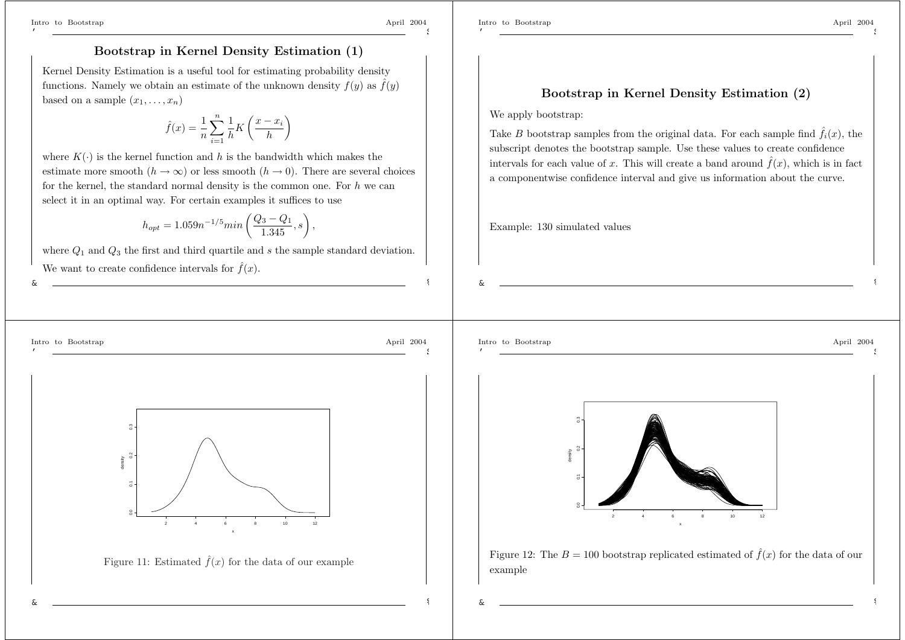&

'

&

\$

\$

## **Bootstrap in Kernel Density Estimation (1)**

Kernel Density Estimation is <sup>a</sup> useful tool for estimating probability density functions. Namely we obtain an estimate of the unknown density  $f(y)$  as  $\hat{f}(y)$ based on a sample  $(x_1, \ldots, x_n)$ 

$$
\hat{f}(x) = \frac{1}{n} \sum_{i=1}^{n} \frac{1}{h} K\left(\frac{x - x_i}{h}\right)
$$

where  $K(\cdot)$  is the kernel function and h is the bandwidth which makes the estimate more smooth  $(h \to \infty)$  or less smooth  $(h \to 0)$ . There are several choices for the kernel, the standard normal density is the common one. For  $h$  we can select it in an optimal way. For certain examples it suffices to use

$$
h_{opt} = 1.059n^{-1/5}min\left(\frac{Q_3 - Q_1}{1.345}, s\right),\,
$$

where  $Q_1$  and  $Q_3$  the first and third quartile and s the sample standard deviation. We want to create confidence intervals for



Intro to Bootstrap April 2004

#### **Bootstrap in Kernel Density Estimation (2)**

#### We apply bootstrap:

Take *B* bootstrap samples from the original data. For each sample find  $\hat{f}_i(x)$ , the subscript denotes the bootstrap sample. Use these values to create confidence intervals for each value of <sup>x</sup>. This will create <sup>a</sup> band around  $\hat{f}(x)$ , which is in fact <sup>a</sup> componentwise confidence interval and give us information about the curve.

Example: 130 simulated values

'

&

%

\$



%

%



Figure 12: The  $B = 100$  bootstrap replicated estimated of  $\hat{f}(x)$  for the data of our example

&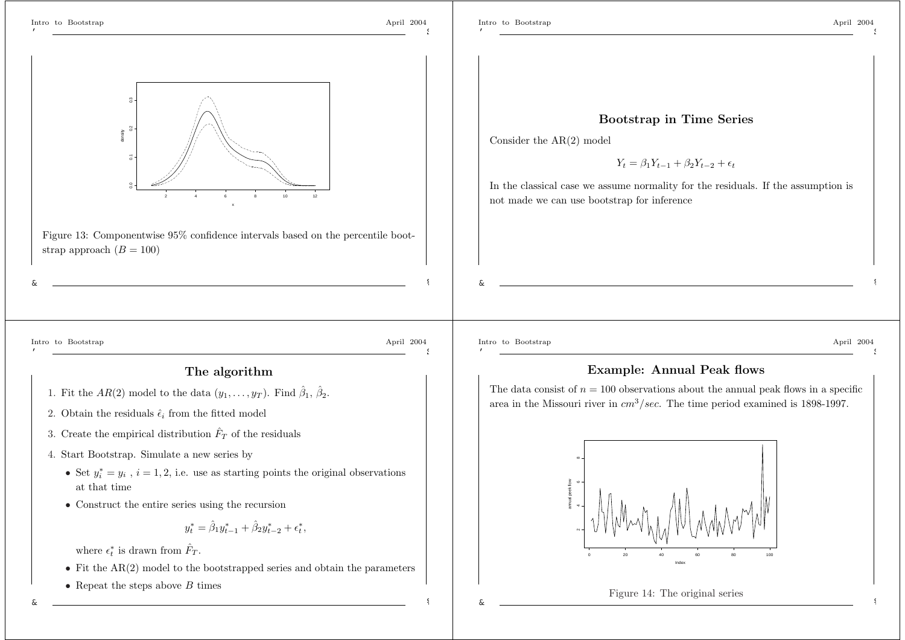density

0.0 0.1 0.2 0.3

-č

 $\overline{2}$ 

 $\tilde{z}$ 

'

\$



Figure 13: Componentwise 95% confidence intervals based on the percentile bootstrap approach  $(B = 100)$ 

x

Intro to Bootstrap April 2004 \$

**Bootstrap in Time Series**

Consider the AR(2) model

 $Y_t = \beta_1 Y_{t-1} + \beta_2 Y_{t-2} + \epsilon_t$ 

In the classical case we assume normality for the residuals. If the assumption is not made we can use bootstrap for inference

Intro to Bootstrap April 2004

&

'

\$

%

#### **The algorithm**

- 1. Fit the  $AR(2)$  model to the data  $(y_1, \ldots, y_T)$ . Find  $\hat{\beta}_1, \hat{\beta}_2$ .
- 2. Obtain the residuals  $\hat{\epsilon}_i$  from the fitted model
- 3. Create the empirical distribution  $\hat{F}_T$  of the residuals
- 4. Start Bootstrap. Simulate <sup>a</sup> new series by
	- Set  $y_i^* = y_i$ ,  $i = 1, 2$ , i.e. use as starting points the original observations at that time
	- Construct the entire series using the recursion

$$
y_t^* = \hat{\beta}_1 y_{t-1}^* + \hat{\beta}_2 y_{t-2}^* + \epsilon_t^*,
$$

where  $\epsilon_t^*$  is drawn from  $\hat{F}_T$ .

- Fit the AR(2) model to the bootstrapped series and obtain the parameters
- Repeat the steps above  $B$  times

'

&

Intro to Bootstrap April 2004 \$

%

%

## **Example: Annual Peak flows**

The data consist of  $n = 100$  observations about the annual peak flows in a specific area in the Missouri river in  $cm^3/sec$ . The time period examined is 1898-1997.





&

&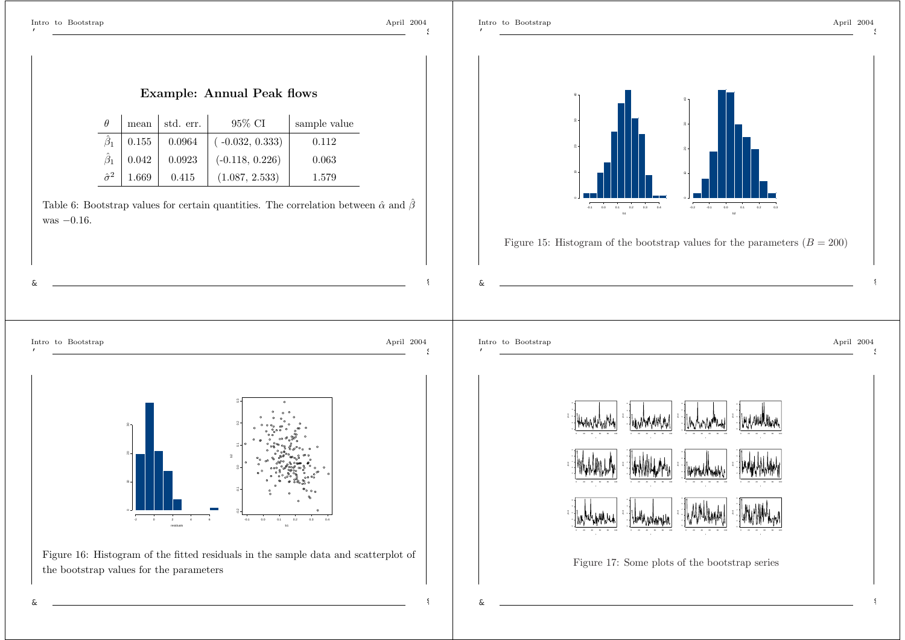\$

\$

%



%

&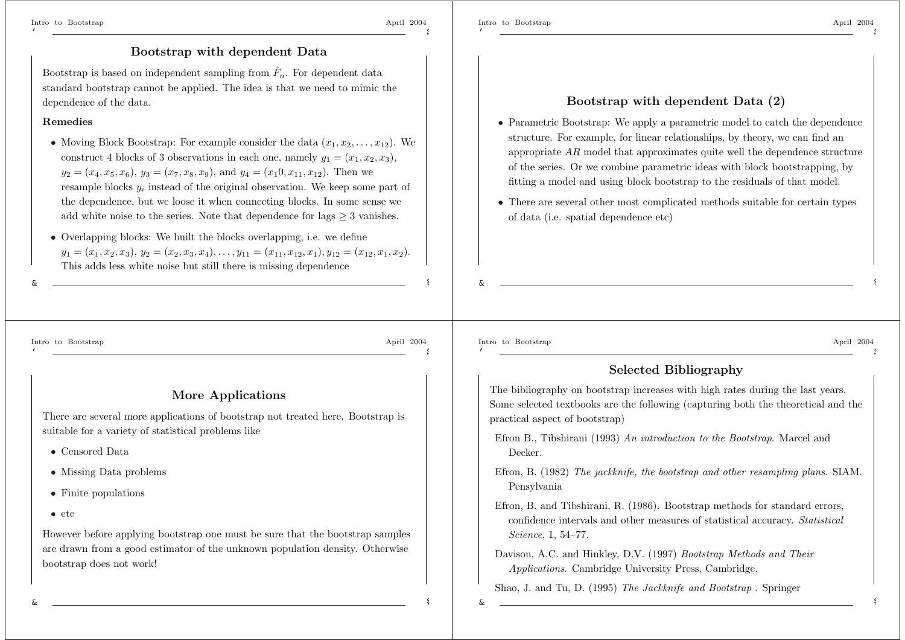\$

#### **Bootstrap with dependent Data**

Bootstrap is based on independent sampling from  $\hat{F}_n$ . For dependent data standard bootstrap cannot be applied. The idea is that we need to mimic the dependence of the data.

#### **Remedies**

- Moving Block Bootstrap: For example consider the data  $(x_1, x_2, \ldots, x_{12})$ . We construct 4 blocks of 3 observations in each one, namely  $y_1 = (x_1, x_2, x_3)$ ,  $y_2 = (x_4, x_5, x_6), y_3 = (x_7, x_8, x_9), \text{ and } y_4 = (x_1 0, x_{11}, x_{12}).$  Then we resample blocks y*<sup>i</sup>* instead of the original observation. We keep some part of the dependence, but we loose it when connecting blocks. In some sense we add white noise to the series. Note that dependence for lags  $\geq$  3 vanishes.
- Overlapping blocks: We built the blocks overlapping, i.e. we define  $y_1 = (x_1, x_2, x_3), y_2 = (x_2, x_3, x_4), \ldots, y_{11} = (x_{11}, x_{12}, x_1), y_{12} = (x_{12}, x_1, x_2).$ This adds less white noise but still there is missing dependence

#### **Bootstrap with dependent Data (2)**

- Parametric Bootstrap: We apply a parametric model to catch the dependence structure. For example, for linear relationships, by theory, we can find an appropriate  $AR$  model that approximates quite well the dependence structure of the series. Or we combine parametric ideas with block bootstrapping, by fitting <sup>a</sup> model and using block bootstrap to the residuals of that model.
- There are several other most complicated methods suitable for certain types of data (i.e. spatial dependence etc)

Intro to Bootstrap April 2004

&

'

\$

%

%

&

#### **More Applications**

There are several more applications of bootstrap not treated here. Bootstrap is suitable for <sup>a</sup> variety of statistical problems like

- Censored Data
- Missing Data problems
- Finite populations
- $\bullet$  etc

However before applying bootstrap one must be sure that the bootstrap samples are drawn from <sup>a</sup> good estimator of the unknown population density. Otherwise bootstrap does not work!

Intro to Bootstrap April 2004 '

&

\$

%

%

## **Selected Bibliography**

The bibliography on bootstrap increases with high rates during the last years. Some selected textbooks are the following (capturing both the theoretical and the practical aspect of bootstrap)

- Efron B., Tibshirani (1993) *An introduction to the Bootstrap*. Marcel and Decker.
- Efron, B. (1982) *The jackknife, the bootstrap and other resampling plans*. SIAM. Pensylvania
- Efron, B. and Tibshirani, R. (1986). Bootstrap methods for standard errors, confidence intervals and other measures of statistical accuracy. *Statistical Science*, 1, 54–77.
- Davison, A.C. and Hinkley, D.V. (1997) *Bootstrap Methods and Their Applications*. Cambridge University Press, Cambridge.

Shao, J. and Tu, D. (1995) *The Jackknife and Bootstrap* . Springer